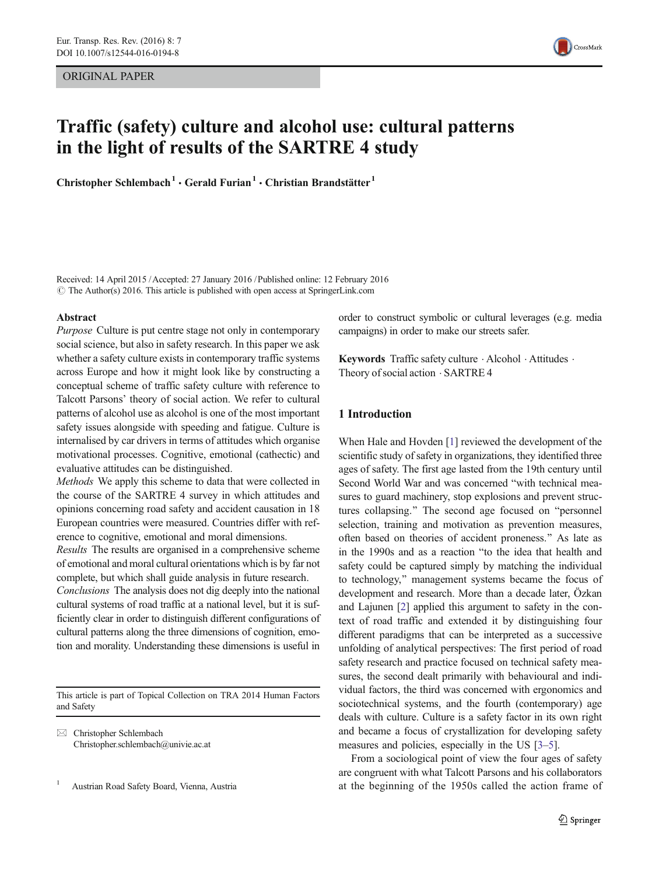ORIGINAL PAPER



## Traffic (safety) culture and alcohol use: cultural patterns in the light of results of the SARTRE 4 study

Christopher Schlembach<sup>1</sup> · Gerald Furian<sup>1</sup> · Christian Brandstätter<sup>1</sup>

Received: 14 April 2015 /Accepted: 27 January 2016 /Published online: 12 February 2016  $\odot$  The Author(s) 2016. This article is published with open access at SpringerLink.com

### Abstract

Purpose Culture is put centre stage not only in contemporary social science, but also in safety research. In this paper we ask whether a safety culture exists in contemporary traffic systems across Europe and how it might look like by constructing a conceptual scheme of traffic safety culture with reference to Talcott Parsons' theory of social action. We refer to cultural patterns of alcohol use as alcohol is one of the most important safety issues alongside with speeding and fatigue. Culture is internalised by car drivers in terms of attitudes which organise motivational processes. Cognitive, emotional (cathectic) and evaluative attitudes can be distinguished.

Methods We apply this scheme to data that were collected in the course of the SARTRE 4 survey in which attitudes and opinions concerning road safety and accident causation in 18 European countries were measured. Countries differ with reference to cognitive, emotional and moral dimensions.

Results The results are organised in a comprehensive scheme of emotional and moral cultural orientations which is by far not complete, but which shall guide analysis in future research.

Conclusions The analysis does not dig deeply into the national cultural systems of road traffic at a national level, but it is sufficiently clear in order to distinguish different configurations of cultural patterns along the three dimensions of cognition, emotion and morality. Understanding these dimensions is useful in

This article is part of Topical Collection on TRA 2014 Human Factors and Safety

 $\boxtimes$  Christopher Schlembach Christopher.schlembach@univie.ac.at

<sup>1</sup> Austrian Road Safety Board, Vienna, Austria

order to construct symbolic or cultural leverages (e.g. media campaigns) in order to make our streets safer.

Keywords Traffic safety culture  $\cdot$  Alcohol  $\cdot$  Attitudes  $\cdot$ Theory of social action . SARTRE 4

## 1 Introduction

When Hale and Hovden [\[1](#page-10-0)] reviewed the development of the scientific study of safety in organizations, they identified three ages of safety. The first age lasted from the 19th century until Second World War and was concerned "with technical measures to guard machinery, stop explosions and prevent structures collapsing." The second age focused on "personnel" selection, training and motivation as prevention measures, often based on theories of accident proneness.^ As late as in the 1990s and as a reaction "to the idea that health and safety could be captured simply by matching the individual to technology," management systems became the focus of development and research. More than a decade later, Özkan and Lajunen [\[2](#page-10-0)] applied this argument to safety in the context of road traffic and extended it by distinguishing four different paradigms that can be interpreted as a successive unfolding of analytical perspectives: The first period of road safety research and practice focused on technical safety measures, the second dealt primarily with behavioural and individual factors, the third was concerned with ergonomics and sociotechnical systems, and the fourth (contemporary) age deals with culture. Culture is a safety factor in its own right and became a focus of crystallization for developing safety measures and policies, especially in the US [\[3](#page-10-0)–[5\]](#page-10-0).

From a sociological point of view the four ages of safety are congruent with what Talcott Parsons and his collaborators at the beginning of the 1950s called the action frame of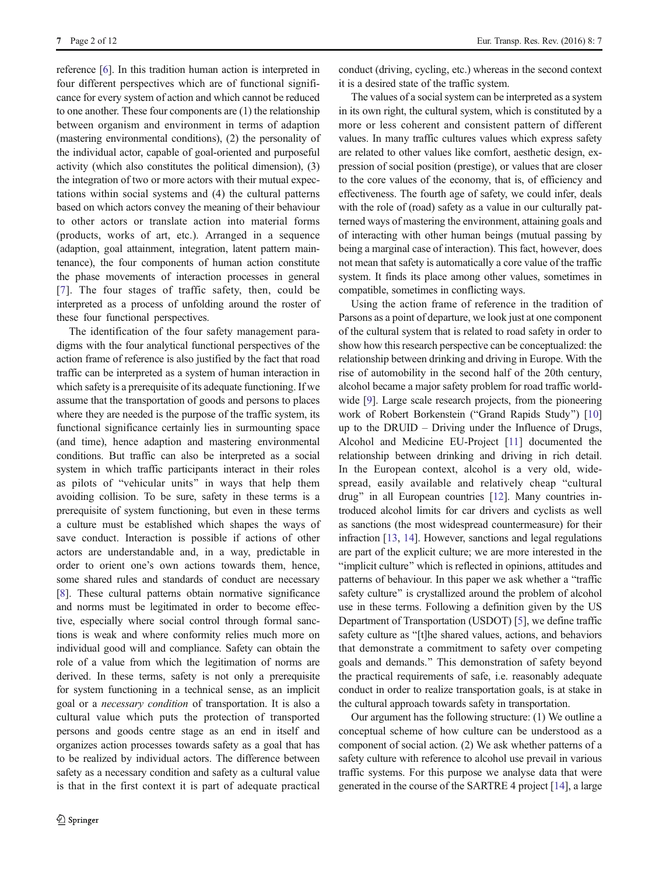reference [\[6\]](#page-10-0). In this tradition human action is interpreted in four different perspectives which are of functional significance for every system of action and which cannot be reduced to one another. These four components are (1) the relationship between organism and environment in terms of adaption (mastering environmental conditions), (2) the personality of the individual actor, capable of goal-oriented and purposeful activity (which also constitutes the political dimension), (3) the integration of two or more actors with their mutual expectations within social systems and (4) the cultural patterns based on which actors convey the meaning of their behaviour to other actors or translate action into material forms (products, works of art, etc.). Arranged in a sequence (adaption, goal attainment, integration, latent pattern maintenance), the four components of human action constitute the phase movements of interaction processes in general [\[7\]](#page-10-0). The four stages of traffic safety, then, could be interpreted as a process of unfolding around the roster of these four functional perspectives.

The identification of the four safety management paradigms with the four analytical functional perspectives of the action frame of reference is also justified by the fact that road traffic can be interpreted as a system of human interaction in which safety is a prerequisite of its adequate functioning. If we assume that the transportation of goods and persons to places where they are needed is the purpose of the traffic system, its functional significance certainly lies in surmounting space (and time), hence adaption and mastering environmental conditions. But traffic can also be interpreted as a social system in which traffic participants interact in their roles as pilots of "vehicular units" in ways that help them avoiding collision. To be sure, safety in these terms is a prerequisite of system functioning, but even in these terms a culture must be established which shapes the ways of save conduct. Interaction is possible if actions of other actors are understandable and, in a way, predictable in order to orient one's own actions towards them, hence, some shared rules and standards of conduct are necessary [\[8](#page-10-0)]. These cultural patterns obtain normative significance and norms must be legitimated in order to become effective, especially where social control through formal sanctions is weak and where conformity relies much more on individual good will and compliance. Safety can obtain the role of a value from which the legitimation of norms are derived. In these terms, safety is not only a prerequisite for system functioning in a technical sense, as an implicit goal or a necessary condition of transportation. It is also a cultural value which puts the protection of transported persons and goods centre stage as an end in itself and organizes action processes towards safety as a goal that has to be realized by individual actors. The difference between safety as a necessary condition and safety as a cultural value is that in the first context it is part of adequate practical

conduct (driving, cycling, etc.) whereas in the second context it is a desired state of the traffic system.

The values of a social system can be interpreted as a system in its own right, the cultural system, which is constituted by a more or less coherent and consistent pattern of different values. In many traffic cultures values which express safety are related to other values like comfort, aesthetic design, expression of social position (prestige), or values that are closer to the core values of the economy, that is, of efficiency and effectiveness. The fourth age of safety, we could infer, deals with the role of (road) safety as a value in our culturally patterned ways of mastering the environment, attaining goals and of interacting with other human beings (mutual passing by being a marginal case of interaction). This fact, however, does not mean that safety is automatically a core value of the traffic system. It finds its place among other values, sometimes in compatible, sometimes in conflicting ways.

Using the action frame of reference in the tradition of Parsons as a point of departure, we look just at one component of the cultural system that is related to road safety in order to show how this research perspective can be conceptualized: the relationship between drinking and driving in Europe. With the rise of automobility in the second half of the 20th century, alcohol became a major safety problem for road traffic world-wide [[9](#page-10-0)]. Large scale research projects, from the pioneering work of Robert Borkenstein ("Grand Rapids Study") [\[10](#page-10-0)] up to the DRUID – Driving under the Influence of Drugs, Alcohol and Medicine EU-Project [[11](#page-10-0)] documented the relationship between drinking and driving in rich detail. In the European context, alcohol is a very old, widespread, easily available and relatively cheap "cultural drug" in all European countries [[12](#page-10-0)]. Many countries introduced alcohol limits for car drivers and cyclists as well as sanctions (the most widespread countermeasure) for their infraction [[13](#page-10-0), [14\]](#page-11-0). However, sanctions and legal regulations are part of the explicit culture; we are more interested in the "implicit culture" which is reflected in opinions, attitudes and patterns of behaviour. In this paper we ask whether a "traffic safety culture" is crystallized around the problem of alcohol use in these terms. Following a definition given by the US Department of Transportation (USDOT) [\[5\]](#page-10-0), we define traffic safety culture as "[t]he shared values, actions, and behaviors that demonstrate a commitment to safety over competing goals and demands.^ This demonstration of safety beyond the practical requirements of safe, i.e. reasonably adequate conduct in order to realize transportation goals, is at stake in the cultural approach towards safety in transportation.

Our argument has the following structure: (1) We outline a conceptual scheme of how culture can be understood as a component of social action. (2) We ask whether patterns of a safety culture with reference to alcohol use prevail in various traffic systems. For this purpose we analyse data that were generated in the course of the SARTRE 4 project [[14\]](#page-11-0), a large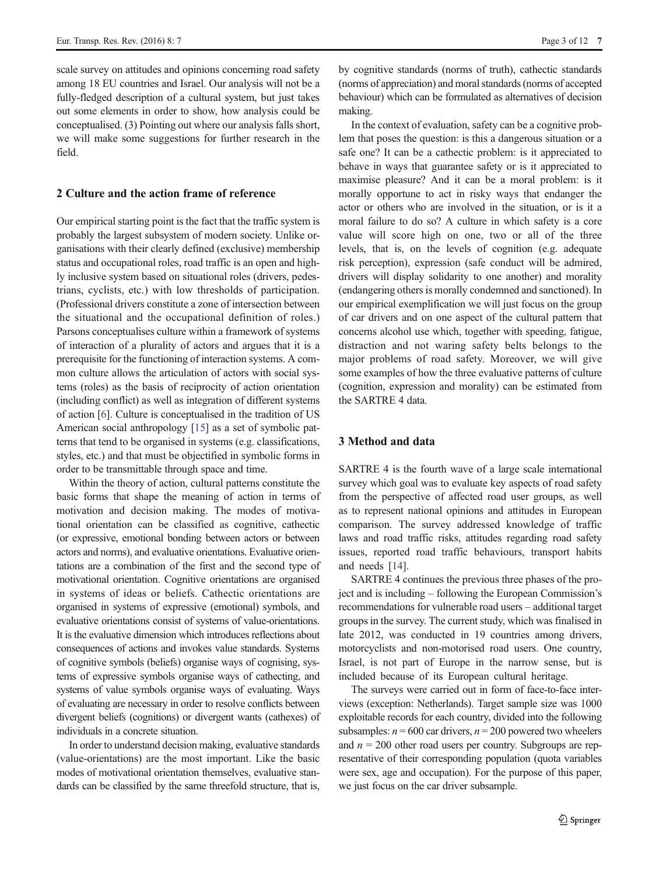scale survey on attitudes and opinions concerning road safety among 18 EU countries and Israel. Our analysis will not be a fully-fledged description of a cultural system, but just takes out some elements in order to show, how analysis could be conceptualised. (3) Pointing out where our analysis falls short, we will make some suggestions for further research in the field.

## 2 Culture and the action frame of reference

Our empirical starting point is the fact that the traffic system is probably the largest subsystem of modern society. Unlike organisations with their clearly defined (exclusive) membership status and occupational roles, road traffic is an open and highly inclusive system based on situational roles (drivers, pedestrians, cyclists, etc.) with low thresholds of participation. (Professional drivers constitute a zone of intersection between the situational and the occupational definition of roles.) Parsons conceptualises culture within a framework of systems of interaction of a plurality of actors and argues that it is a prerequisite for the functioning of interaction systems. A common culture allows the articulation of actors with social systems (roles) as the basis of reciprocity of action orientation (including conflict) as well as integration of different systems of action [\[6](#page-10-0)]. Culture is conceptualised in the tradition of US American social anthropology [[15\]](#page-11-0) as a set of symbolic patterns that tend to be organised in systems (e.g. classifications, styles, etc.) and that must be objectified in symbolic forms in order to be transmittable through space and time.

Within the theory of action, cultural patterns constitute the basic forms that shape the meaning of action in terms of motivation and decision making. The modes of motivational orientation can be classified as cognitive, cathectic (or expressive, emotional bonding between actors or between actors and norms), and evaluative orientations. Evaluative orientations are a combination of the first and the second type of motivational orientation. Cognitive orientations are organised in systems of ideas or beliefs. Cathectic orientations are organised in systems of expressive (emotional) symbols, and evaluative orientations consist of systems of value-orientations. It is the evaluative dimension which introduces reflections about consequences of actions and invokes value standards. Systems of cognitive symbols (beliefs) organise ways of cognising, systems of expressive symbols organise ways of cathecting, and systems of value symbols organise ways of evaluating. Ways of evaluating are necessary in order to resolve conflicts between divergent beliefs (cognitions) or divergent wants (cathexes) of individuals in a concrete situation.

In order to understand decision making, evaluative standards (value-orientations) are the most important. Like the basic modes of motivational orientation themselves, evaluative standards can be classified by the same threefold structure, that is, by cognitive standards (norms of truth), cathectic standards (norms of appreciation) and moral standards (norms of accepted behaviour) which can be formulated as alternatives of decision making.

In the context of evaluation, safety can be a cognitive problem that poses the question: is this a dangerous situation or a safe one? It can be a cathectic problem: is it appreciated to behave in ways that guarantee safety or is it appreciated to maximise pleasure? And it can be a moral problem: is it morally opportune to act in risky ways that endanger the actor or others who are involved in the situation, or is it a moral failure to do so? A culture in which safety is a core value will score high on one, two or all of the three levels, that is, on the levels of cognition (e.g. adequate risk perception), expression (safe conduct will be admired, drivers will display solidarity to one another) and morality (endangering others is morally condemned and sanctioned). In our empirical exemplification we will just focus on the group of car drivers and on one aspect of the cultural pattern that concerns alcohol use which, together with speeding, fatigue, distraction and not waring safety belts belongs to the major problems of road safety. Moreover, we will give some examples of how the three evaluative patterns of culture (cognition, expression and morality) can be estimated from the SARTRE 4 data.

## 3 Method and data

SARTRE 4 is the fourth wave of a large scale international survey which goal was to evaluate key aspects of road safety from the perspective of affected road user groups, as well as to represent national opinions and attitudes in European comparison. The survey addressed knowledge of traffic laws and road traffic risks, attitudes regarding road safety issues, reported road traffic behaviours, transport habits and needs [\[14](#page-11-0)].

SARTRE 4 continues the previous three phases of the project and is including – following the European Commission's recommendations for vulnerable road users – additional target groups in the survey. The current study, which was finalised in late 2012, was conducted in 19 countries among drivers, motorcyclists and non-motorised road users. One country, Israel, is not part of Europe in the narrow sense, but is included because of its European cultural heritage.

The surveys were carried out in form of face-to-face interviews (exception: Netherlands). Target sample size was 1000 exploitable records for each country, divided into the following subsamples:  $n = 600$  car drivers,  $n = 200$  powered two wheelers and  $n = 200$  other road users per country. Subgroups are representative of their corresponding population (quota variables were sex, age and occupation). For the purpose of this paper, we just focus on the car driver subsample.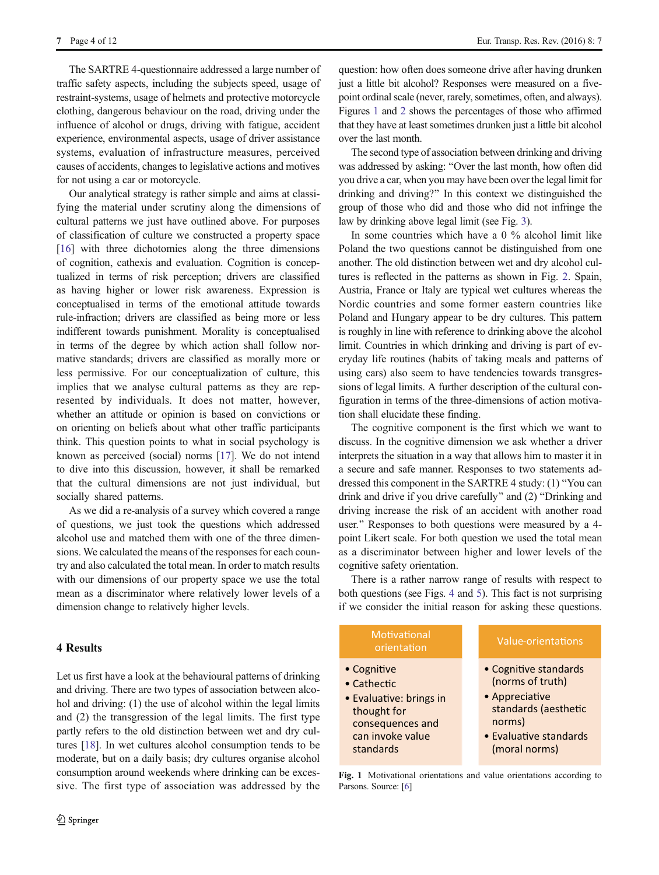7 Page 4 of 12 Eur. Transp. Res. Rev. (2016) 8: 7

The SARTRE 4-questionnaire addressed a large number of traffic safety aspects, including the subjects speed, usage of restraint-systems, usage of helmets and protective motorcycle clothing, dangerous behaviour on the road, driving under the influence of alcohol or drugs, driving with fatigue, accident experience, environmental aspects, usage of driver assistance systems, evaluation of infrastructure measures, perceived causes of accidents, changes to legislative actions and motives for not using a car or motorcycle.

Our analytical strategy is rather simple and aims at classifying the material under scrutiny along the dimensions of cultural patterns we just have outlined above. For purposes of classification of culture we constructed a property space [\[16](#page-11-0)] with three dichotomies along the three dimensions of cognition, cathexis and evaluation. Cognition is conceptualized in terms of risk perception; drivers are classified as having higher or lower risk awareness. Expression is conceptualised in terms of the emotional attitude towards rule-infraction; drivers are classified as being more or less indifferent towards punishment. Morality is conceptualised in terms of the degree by which action shall follow normative standards; drivers are classified as morally more or less permissive. For our conceptualization of culture, this implies that we analyse cultural patterns as they are represented by individuals. It does not matter, however, whether an attitude or opinion is based on convictions or on orienting on beliefs about what other traffic participants think. This question points to what in social psychology is known as perceived (social) norms [[17\]](#page-11-0). We do not intend to dive into this discussion, however, it shall be remarked that the cultural dimensions are not just individual, but socially shared patterns.

As we did a re-analysis of a survey which covered a range of questions, we just took the questions which addressed alcohol use and matched them with one of the three dimensions. We calculated the means of the responses for each country and also calculated the total mean. In order to match results with our dimensions of our property space we use the total mean as a discriminator where relatively lower levels of a dimension change to relatively higher levels.

## 4 Results

Let us first have a look at the behavioural patterns of drinking and driving. There are two types of association between alcohol and driving: (1) the use of alcohol within the legal limits and (2) the transgression of the legal limits. The first type partly refers to the old distinction between wet and dry cultures [\[18](#page-11-0)]. In wet cultures alcohol consumption tends to be moderate, but on a daily basis; dry cultures organise alcohol consumption around weekends where drinking can be excessive. The first type of association was addressed by the

question: how often does someone drive after having drunken just a little bit alcohol? Responses were measured on a fivepoint ordinal scale (never, rarely, sometimes, often, and always). Figures 1 and [2](#page-4-0) shows the percentages of those who affirmed that they have at least sometimes drunken just a little bit alcohol over the last month.

The second type of association between drinking and driving was addressed by asking: "Over the last month, how often did you drive a car, when you may have been over the legal limit for drinking and driving?" In this context we distinguished the group of those who did and those who did not infringe the law by drinking above legal limit (see Fig. [3\)](#page-5-0).

In some countries which have a 0 % alcohol limit like Poland the two questions cannot be distinguished from one another. The old distinction between wet and dry alcohol cultures is reflected in the patterns as shown in Fig. [2](#page-4-0). Spain, Austria, France or Italy are typical wet cultures whereas the Nordic countries and some former eastern countries like Poland and Hungary appear to be dry cultures. This pattern is roughly in line with reference to drinking above the alcohol limit. Countries in which drinking and driving is part of everyday life routines (habits of taking meals and patterns of using cars) also seem to have tendencies towards transgressions of legal limits. A further description of the cultural configuration in terms of the three-dimensions of action motivation shall elucidate these finding.

The cognitive component is the first which we want to discuss. In the cognitive dimension we ask whether a driver interprets the situation in a way that allows him to master it in a secure and safe manner. Responses to two statements addressed this component in the SARTRE 4 study:  $(1)$  "You can drink and drive if you drive carefully" and (2) "Drinking and driving increase the risk of an accident with another road user." Responses to both questions were measured by a 4point Likert scale. For both question we used the total mean as a discriminator between higher and lower levels of the cognitive safety orientation.

There is a rather narrow range of results with respect to both questions (see Figs. [4](#page-6-0) and [5\)](#page-6-0). This fact is not surprising if we consider the initial reason for asking these questions.

# Motivational

- Cognitive
- Cathectic
- Evaluative: brings in thought for consequences and can invoke value standards

- Cognitive standards (norms of truth)
- Appreciative standards (aesthetic norms)
- Evaluative standards (moral norms)

Fig. 1 Motivational orientations and value orientations according to Parsons. Source: [[6\]](#page-10-0)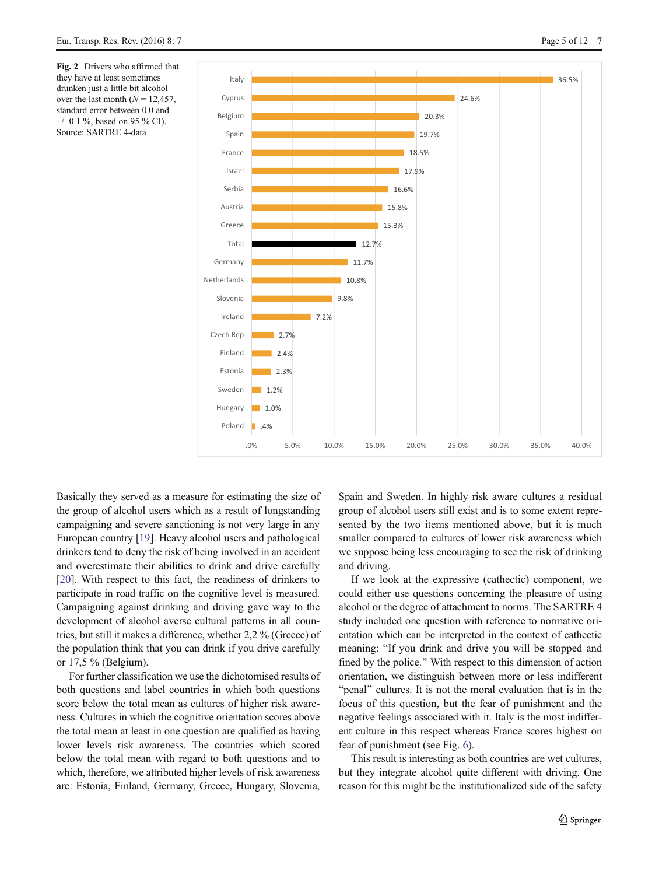<span id="page-4-0"></span>Fig. 2 Drivers who affirmed that they have at least sometimes drunken just a little bit alcohol over the last month ( $N = 12.457$ , standard error between 0.0 and +/−0.1 %, based on 95 % CI). Source: SARTRE 4-data



Basically they served as a measure for estimating the size of the group of alcohol users which as a result of longstanding campaigning and severe sanctioning is not very large in any European country [[19\]](#page-11-0). Heavy alcohol users and pathological drinkers tend to deny the risk of being involved in an accident and overestimate their abilities to drink and drive carefully [\[20](#page-11-0)]. With respect to this fact, the readiness of drinkers to participate in road traffic on the cognitive level is measured. Campaigning against drinking and driving gave way to the development of alcohol averse cultural patterns in all countries, but still it makes a difference, whether 2,2 % (Greece) of the population think that you can drink if you drive carefully or 17,5 % (Belgium).

For further classification we use the dichotomised results of both questions and label countries in which both questions score below the total mean as cultures of higher risk awareness. Cultures in which the cognitive orientation scores above the total mean at least in one question are qualified as having lower levels risk awareness. The countries which scored below the total mean with regard to both questions and to which, therefore, we attributed higher levels of risk awareness are: Estonia, Finland, Germany, Greece, Hungary, Slovenia, Spain and Sweden. In highly risk aware cultures a residual group of alcohol users still exist and is to some extent represented by the two items mentioned above, but it is much smaller compared to cultures of lower risk awareness which we suppose being less encouraging to see the risk of drinking and driving.

If we look at the expressive (cathectic) component, we could either use questions concerning the pleasure of using alcohol or the degree of attachment to norms. The SARTRE 4 study included one question with reference to normative orientation which can be interpreted in the context of cathectic meaning: "If you drink and drive you will be stopped and fined by the police." With respect to this dimension of action orientation, we distinguish between more or less indifferent "penal" cultures. It is not the moral evaluation that is in the focus of this question, but the fear of punishment and the negative feelings associated with it. Italy is the most indifferent culture in this respect whereas France scores highest on fear of punishment (see Fig. [6](#page-7-0)).

This result is interesting as both countries are wet cultures, but they integrate alcohol quite different with driving. One reason for this might be the institutionalized side of the safety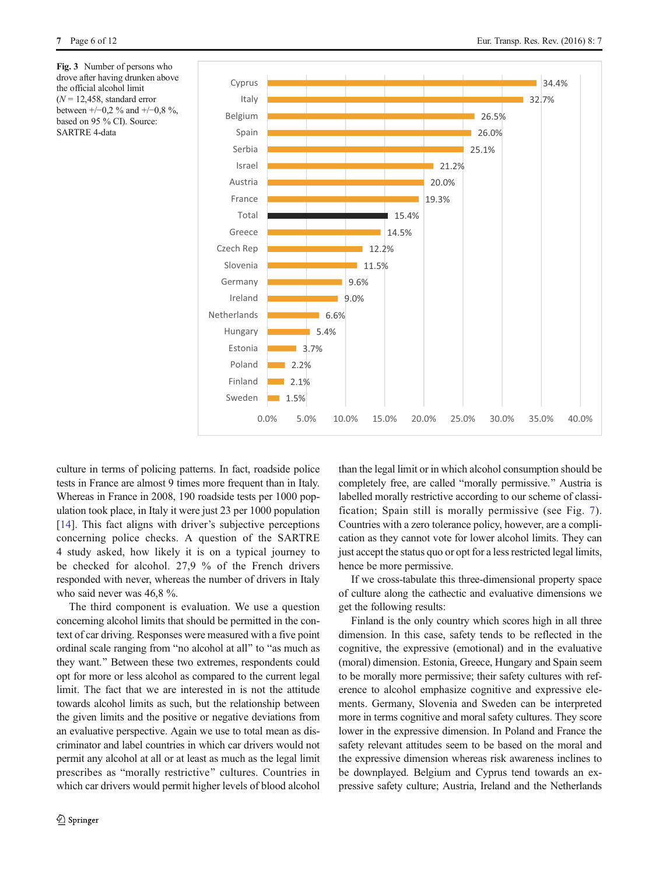<span id="page-5-0"></span>Fig. 3 Number of persons who drove after having drunken above the official alcohol limit  $(N = 12.458$ , standard error between +/−0,2 % and +/−0,8 %, based on 95 % CI). Source: SARTRE 4-data



culture in terms of policing patterns. In fact, roadside police tests in France are almost 9 times more frequent than in Italy. Whereas in France in 2008, 190 roadside tests per 1000 population took place, in Italy it were just 23 per 1000 population [\[14](#page-11-0)]. This fact aligns with driver's subjective perceptions concerning police checks. A question of the SARTRE 4 study asked, how likely it is on a typical journey to be checked for alcohol. 27,9 % of the French drivers responded with never, whereas the number of drivers in Italy who said never was 46,8 %.

The third component is evaluation. We use a question concerning alcohol limits that should be permitted in the context of car driving. Responses were measured with a five point ordinal scale ranging from "no alcohol at all" to "as much as they want." Between these two extremes, respondents could opt for more or less alcohol as compared to the current legal limit. The fact that we are interested in is not the attitude towards alcohol limits as such, but the relationship between the given limits and the positive or negative deviations from an evaluative perspective. Again we use to total mean as discriminator and label countries in which car drivers would not permit any alcohol at all or at least as much as the legal limit prescribes as "morally restrictive" cultures. Countries in which car drivers would permit higher levels of blood alcohol

than the legal limit or in which alcohol consumption should be completely free, are called "morally permissive." Austria is labelled morally restrictive according to our scheme of classification; Spain still is morally permissive (see Fig. [7](#page-8-0)). Countries with a zero tolerance policy, however, are a complication as they cannot vote for lower alcohol limits. They can just accept the status quo or opt for a less restricted legal limits, hence be more permissive.

If we cross-tabulate this three-dimensional property space of culture along the cathectic and evaluative dimensions we get the following results:

Finland is the only country which scores high in all three dimension. In this case, safety tends to be reflected in the cognitive, the expressive (emotional) and in the evaluative (moral) dimension. Estonia, Greece, Hungary and Spain seem to be morally more permissive; their safety cultures with reference to alcohol emphasize cognitive and expressive elements. Germany, Slovenia and Sweden can be interpreted more in terms cognitive and moral safety cultures. They score lower in the expressive dimension. In Poland and France the safety relevant attitudes seem to be based on the moral and the expressive dimension whereas risk awareness inclines to be downplayed. Belgium and Cyprus tend towards an expressive safety culture; Austria, Ireland and the Netherlands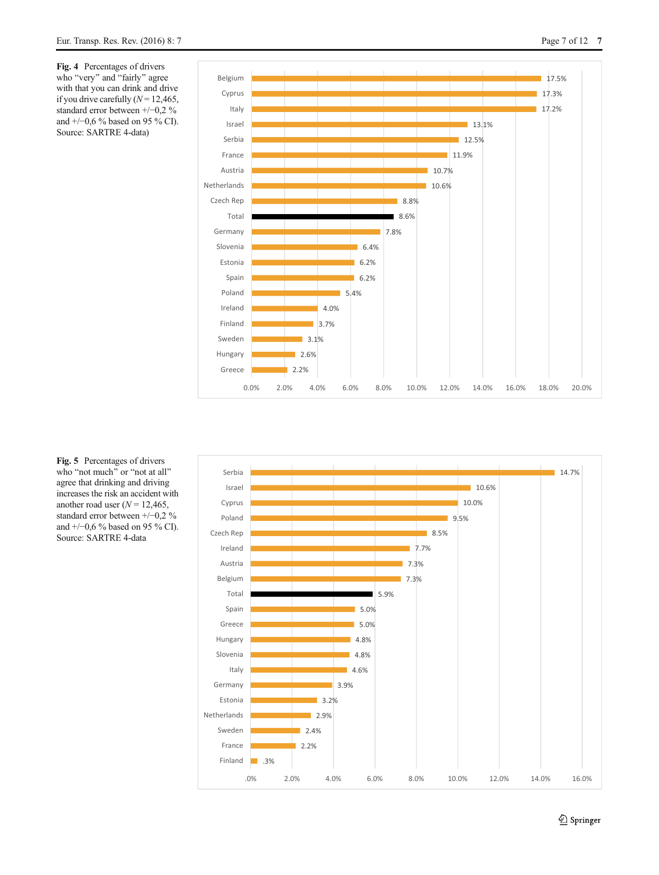<span id="page-6-0"></span>Fig. 4 Percentages of drivers who "very" and "fairly" agree with that you can drink and drive if you drive carefully  $(N = 12,465,$ standard error between +/−0,2 % and +/−0,6 % based on 95 % CI). Source: SARTRE 4-data)





Fig. 5 Percentages of drivers who "not much" or "not at all" agree that drinking and driving increases the risk an accident with another road user  $(N = 12,465,$ standard error between +/−0,2 % and +/−0,6 % based on 95 % CI). Source: SARTRE 4-data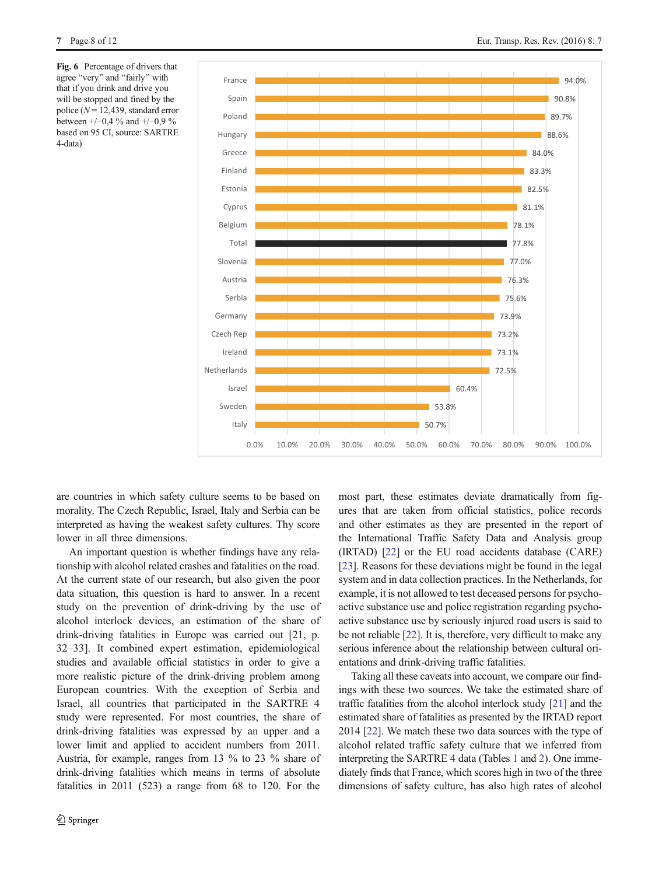<span id="page-7-0"></span>Fig. 6 Percentage of drivers that agree "very" and "fairly" with that if you drink and drive you will be stopped and fined by the police ( $N = 12,439$ , standard error between +/−0,4 % and +/−0,9 % based on 95 CI, source: SARTRE 4-data)



are countries in which safety culture seems to be based on morality. The Czech Republic, Israel, Italy and Serbia can be interpreted as having the weakest safety cultures. Thy score lower in all three dimensions.

An important question is whether findings have any relationship with alcohol related crashes and fatalities on the road. At the current state of our research, but also given the poor data situation, this question is hard to answer. In a recent study on the prevention of drink-driving by the use of alcohol interlock devices, an estimation of the share of drink-driving fatalities in Europe was carried out [21, p. 32–33]. It combined expert estimation, epidemiological studies and available official statistics in order to give a more realistic picture of the drink-driving problem among European countries. With the exception of Serbia and Israel, all countries that participated in the SARTRE 4 study were represented. For most countries, the share of drink-driving fatalities was expressed by an upper and a lower limit and applied to accident numbers from 2011. Austria, for example, ranges from 13 % to 23 % share of drink-driving fatalities which means in terms of absolute fatalities in 2011 (523) a range from 68 to 120. For the

most part, these estimates deviate dramatically from figures that are taken from official statistics, police records and other estimates as they are presented in the report of the International Traffic Safety Data and Analysis group (IRTAD) [\[22](#page-11-0)] or the EU road accidents database (CARE) [\[23](#page-11-0)]. Reasons for these deviations might be found in the legal system and in data collection practices. In the Netherlands, for example, it is not allowed to test deceased persons for psychoactive substance use and police registration regarding psychoactive substance use by seriously injured road users is said to be not reliable [\[22\]](#page-11-0). It is, therefore, very difficult to make any serious inference about the relationship between cultural orientations and drink-driving traffic fatalities.

Taking all these caveats into account, we compare our findings with these two sources. We take the estimated share of traffic fatalities from the alcohol interlock study [[21](#page-11-0)] and the estimated share of fatalities as presented by the IRTAD report 2014 [[22](#page-11-0)]. We match these two data sources with the type of alcohol related traffic safety culture that we inferred from interpreting the SARTRE 4 data (Tables [1](#page-8-0) and [2](#page-9-0)). One immediately finds that France, which scores high in two of the three dimensions of safety culture, has also high rates of alcohol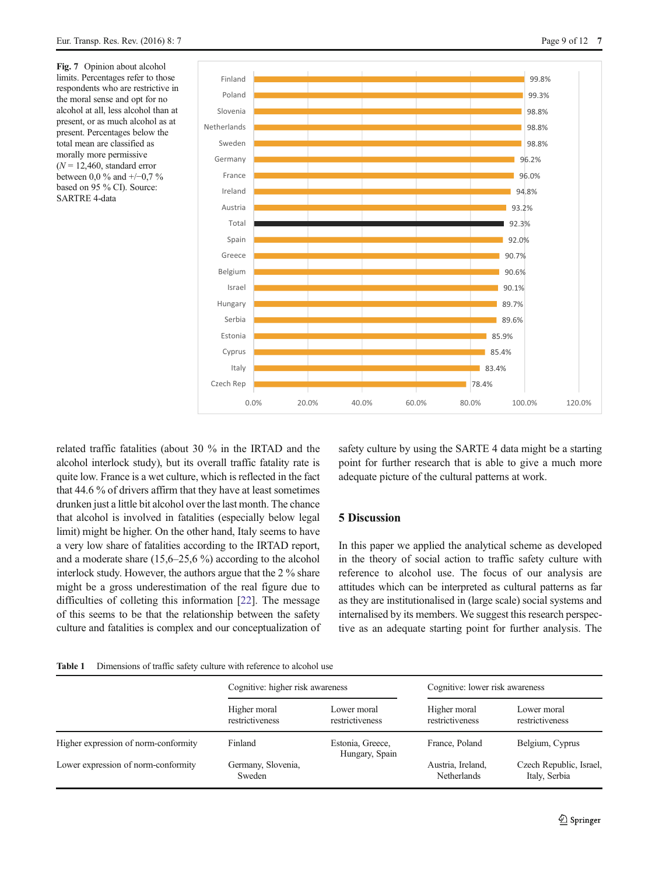<span id="page-8-0"></span>Fig. 7 Opinion about alcohol limits. Percentages refer to those respondents who are restrictive in the moral sense and opt for no alcohol at all, less alcohol than at present, or as much alcohol as at present. Percentages below the total mean are classified as morally more permissive  $(N = 12,460,$  standard error between 0,0 % and +/−0,7 % based on 95 % CI). Source: SARTRE 4-data

related traffic fatalities (about 30 % in the IRTAD and the alcohol interlock study), but its overall traffic fatality rate is quite low. France is a wet culture, which is reflected in the fact that 44.6 % of drivers affirm that they have at least sometimes drunken just a little bit alcohol over the last month. The chance that alcohol is involved in fatalities (especially below legal limit) might be higher. On the other hand, Italy seems to have a very low share of fatalities according to the IRTAD report, and a moderate share (15,6–25,6 %) according to the alcohol interlock study. However, the authors argue that the 2 % share might be a gross underestimation of the real figure due to difficulties of colleting this information [[22](#page-11-0)]. The message of this seems to be that the relationship between the safety culture and fatalities is complex and our conceptualization of safety culture by using the SARTE 4 data might be a starting point for further research that is able to give a much more adequate picture of the cultural patterns at work.

## 5 Discussion

In this paper we applied the analytical scheme as developed in the theory of social action to traffic safety culture with reference to alcohol use. The focus of our analysis are attitudes which can be interpreted as cultural patterns as far as they are institutionalised in (large scale) social systems and internalised by its members. We suggest this research perspective as an adequate starting point for further analysis. The



|                                      | Cognitive: higher risk awareness |                                    | Cognitive: lower risk awareness  |                                          |  |  |
|--------------------------------------|----------------------------------|------------------------------------|----------------------------------|------------------------------------------|--|--|
|                                      | Higher moral<br>restrictiveness  | Lower moral<br>restrictiveness     | Higher moral<br>restrictiveness  | Lower moral<br>restrictiveness           |  |  |
| Higher expression of norm-conformity | Finland                          | Estonia, Greece,<br>Hungary, Spain | France, Poland                   | Belgium, Cyprus                          |  |  |
| Lower expression of norm-conformity  | Germany, Slovenia,<br>Sweden     |                                    | Austria, Ireland,<br>Netherlands | Czech Republic, Israel,<br>Italy, Serbia |  |  |

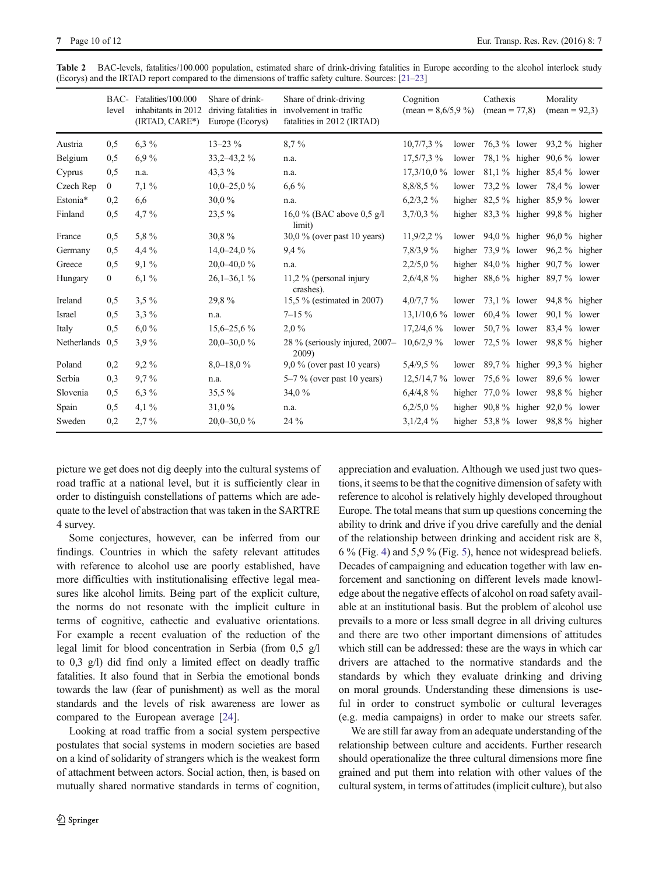|             | BAC-<br>level | Fatalities/100.000<br>inhabitants in 2012<br>(IRTAD, CARE*) | Share of drink-<br>driving fatalities in<br>Europe (Ecorys) | Share of drink-driving<br>involvement in traffic<br>fatalities in 2012 (IRTAD) | Cognition<br>$(\text{mean} = 8,6/5,9\%)$ |        | Cathexis<br>$mean = 77,8$              |  | Morality<br>$mean = 92.3$   |  |
|-------------|---------------|-------------------------------------------------------------|-------------------------------------------------------------|--------------------------------------------------------------------------------|------------------------------------------|--------|----------------------------------------|--|-----------------------------|--|
| Austria     | 0,5           | $6.3\%$                                                     | $13 - 23\%$                                                 | $8.7\%$                                                                        | $10,7/7,3\%$                             | lower  |                                        |  | 76.3 % lower 93.2 % higher  |  |
| Belgium     | 0,5           | $6.9\%$                                                     | $33,2 - 43,2 \%$                                            | n.a.                                                                           | $17,5/7,3\%$                             | lower  |                                        |  | 78.1 % higher 90.6 % lower  |  |
| Cyprus      | 0,5           | n.a.                                                        | 43,3 %                                                      | n.a.                                                                           | $17,3/10,0\%$                            | lower  |                                        |  | 81,1 % higher 85,4 % lower  |  |
| Czech Rep   | $\mathbf{0}$  | $7.1\%$                                                     | $10,0-25,0\%$                                               | $6,6\%$                                                                        | 8,8/8,5%                                 | lower  | 73,2 % lower                           |  | 78,4 % lower                |  |
| Estonia*    | 0,2           | 6,6                                                         | 30,0%                                                       | n.a.                                                                           | $6,2/3,2\%$                              |        | higher $82.5\%$ higher $85.9\%$ lower  |  |                             |  |
| Finland     | 0,5           | 4,7%                                                        | $23,5\%$                                                    | 16,0 % (BAC above 0.5 g/l<br>limit)                                            | $3,7/0,3\%$                              |        | higher $83.3\%$ higher $99.8\%$ higher |  |                             |  |
| France      | 0,5           | 5,8%                                                        | 30,8%                                                       | $30.0\%$ (over past 10 years)                                                  | $11,9/2,2\%$                             | lower  |                                        |  | 94,0 % higher 96,0 % higher |  |
| Germany     | 0,5           | 4,4 %                                                       | $14,0-24,0%$                                                | $9.4\%$                                                                        | 7,8/3,9%                                 | higher | 73.9 % lower 96.2 % higher             |  |                             |  |
| Greece      | 0,5           | $9.1\%$                                                     | 20,0-40,0%                                                  | n.a.                                                                           | 2,2/5,0%                                 |        | higher $84.0\%$ higher $90.7\%$ lower  |  |                             |  |
| Hungary     | $\mathbf{0}$  | $6,1\%$                                                     | $26,1-36,1\%$                                               | 11,2 % (personal injury<br>crashes).                                           | 2,6/4,8%                                 | higher |                                        |  | 88,6 % higher 89,7 % lower  |  |
| Ireland     | 0,5           | $3.5\%$                                                     | 29,8%                                                       | 15,5 % (estimated in 2007)                                                     | 4,0/7,7%                                 | lower  |                                        |  | 73,1 % lower 94,8 % higher  |  |
| Israel      | 0,5           | $3,3\%$                                                     | n.a.                                                        | $7 - 15\%$                                                                     | 13,1/10,6%                               | lower  | $60,4%$ lower                          |  | 90.1 % lower                |  |
| Italy       | 0,5           | $6.0\%$                                                     | $15,6 - 25,6\%$                                             | 2,0%                                                                           | $17,2/4,6\%$                             | lower  | 50,7 % lower                           |  | 83,4 % lower                |  |
| Netherlands | 0,5           | 3,9%                                                        | $20,0-30,0\%$                                               | $28\%$ (seriously injured, $2007-$<br>2009)                                    | $10,6/2,9\%$                             | lower  | 72,5 % lower                           |  | $98.8\%$ higher             |  |
| Poland      | 0,2           | $9,2\%$                                                     | $8,0-18,0%$                                                 | $9.0\%$ (over past 10 years)                                                   | $5,4/9,5\%$                              | lower  |                                        |  | 89,7 % higher 99,3 % higher |  |
| Serbia      | 0,3           | $9.7\%$                                                     | n.a.                                                        | $5-7\%$ (over past 10 years)                                                   | 12,5/14,7%                               | lower  | 75,6 % lower                           |  | 89.6 % lower                |  |
| Slovenia    | 0,5           | $6.3\%$                                                     | 35,5 %                                                      | 34,0 $%$                                                                       | 6,4/4,8%                                 | higher | 77,0 % lower                           |  | 98.8 % higher               |  |
| Spain       | 0,5           | $4.1\%$                                                     | 31,0%                                                       | n.a.                                                                           | $6,2/5,0\%$                              |        | higher $90.8\%$ higher $92.0\%$ lower  |  |                             |  |
| Sweden      | 0,2           | 2,7%                                                        | $20,0-30,0\%$                                               | 24 %                                                                           | $3,1/2,4\%$                              |        | higher $53.8\%$ lower $98.8\%$ higher  |  |                             |  |

<span id="page-9-0"></span>Table 2 BAC-levels, fatalities/100.000 population, estimated share of drink-driving fatalities in Europe according to the alcohol interlock study (Ecorys) and the IRTAD report compared to the dimensions of traffic safety culture. Sources: [[21](#page-11-0)–[23\]](#page-11-0)

picture we get does not dig deeply into the cultural systems of road traffic at a national level, but it is sufficiently clear in order to distinguish constellations of patterns which are adequate to the level of abstraction that was taken in the SARTRE 4 survey.

Some conjectures, however, can be inferred from our findings. Countries in which the safety relevant attitudes with reference to alcohol use are poorly established, have more difficulties with institutionalising effective legal measures like alcohol limits. Being part of the explicit culture, the norms do not resonate with the implicit culture in terms of cognitive, cathectic and evaluative orientations. For example a recent evaluation of the reduction of the legal limit for blood concentration in Serbia (from 0,5 g/l to 0,3 g/l) did find only a limited effect on deadly traffic fatalities. It also found that in Serbia the emotional bonds towards the law (fear of punishment) as well as the moral standards and the levels of risk awareness are lower as compared to the European average [\[24\]](#page-11-0).

Looking at road traffic from a social system perspective postulates that social systems in modern societies are based on a kind of solidarity of strangers which is the weakest form of attachment between actors. Social action, then, is based on mutually shared normative standards in terms of cognition, appreciation and evaluation. Although we used just two questions, it seems to be that the cognitive dimension of safety with reference to alcohol is relatively highly developed throughout Europe. The total means that sum up questions concerning the ability to drink and drive if you drive carefully and the denial of the relationship between drinking and accident risk are 8, 6 % (Fig. [4\)](#page-6-0) and 5,9 % (Fig. [5](#page-6-0)), hence not widespread beliefs. Decades of campaigning and education together with law enforcement and sanctioning on different levels made knowledge about the negative effects of alcohol on road safety available at an institutional basis. But the problem of alcohol use prevails to a more or less small degree in all driving cultures and there are two other important dimensions of attitudes which still can be addressed: these are the ways in which car drivers are attached to the normative standards and the standards by which they evaluate drinking and driving on moral grounds. Understanding these dimensions is useful in order to construct symbolic or cultural leverages (e.g. media campaigns) in order to make our streets safer.

We are still far away from an adequate understanding of the relationship between culture and accidents. Further research should operationalize the three cultural dimensions more fine grained and put them into relation with other values of the cultural system, in terms of attitudes (implicit culture), but also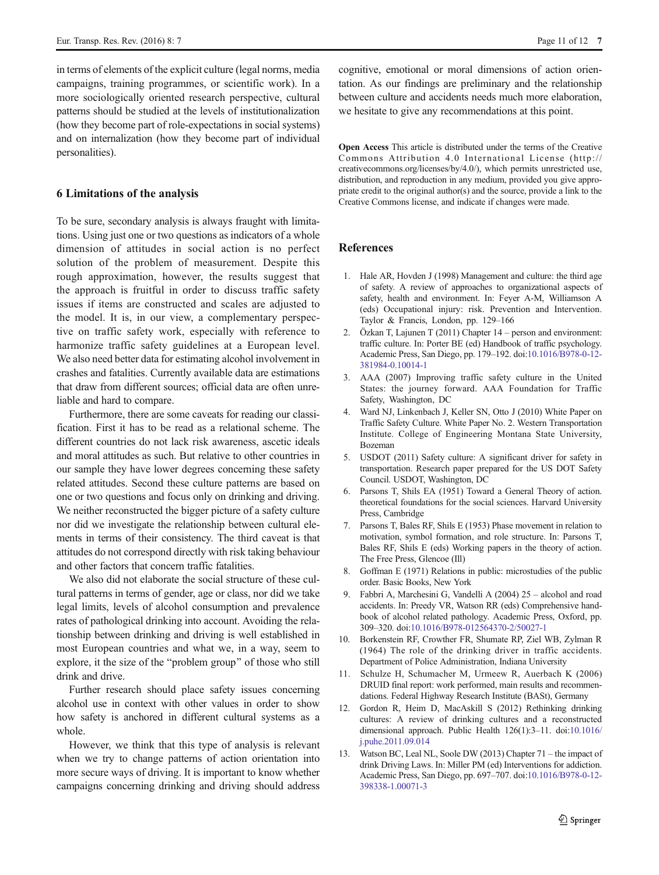<span id="page-10-0"></span>in terms of elements of the explicit culture (legal norms, media campaigns, training programmes, or scientific work). In a more sociologically oriented research perspective, cultural patterns should be studied at the levels of institutionalization (how they become part of role-expectations in social systems) and on internalization (how they become part of individual personalities).

## 6 Limitations of the analysis

To be sure, secondary analysis is always fraught with limitations. Using just one or two questions as indicators of a whole dimension of attitudes in social action is no perfect solution of the problem of measurement. Despite this rough approximation, however, the results suggest that the approach is fruitful in order to discuss traffic safety issues if items are constructed and scales are adjusted to the model. It is, in our view, a complementary perspective on traffic safety work, especially with reference to harmonize traffic safety guidelines at a European level. We also need better data for estimating alcohol involvement in crashes and fatalities. Currently available data are estimations that draw from different sources; official data are often unreliable and hard to compare.

Furthermore, there are some caveats for reading our classification. First it has to be read as a relational scheme. The different countries do not lack risk awareness, ascetic ideals and moral attitudes as such. But relative to other countries in our sample they have lower degrees concerning these safety related attitudes. Second these culture patterns are based on one or two questions and focus only on drinking and driving. We neither reconstructed the bigger picture of a safety culture nor did we investigate the relationship between cultural elements in terms of their consistency. The third caveat is that attitudes do not correspond directly with risk taking behaviour and other factors that concern traffic fatalities.

We also did not elaborate the social structure of these cultural patterns in terms of gender, age or class, nor did we take legal limits, levels of alcohol consumption and prevalence rates of pathological drinking into account. Avoiding the relationship between drinking and driving is well established in most European countries and what we, in a way, seem to explore, it the size of the "problem group" of those who still drink and drive.

Further research should place safety issues concerning alcohol use in context with other values in order to show how safety is anchored in different cultural systems as a whole.

However, we think that this type of analysis is relevant when we try to change patterns of action orientation into more secure ways of driving. It is important to know whether campaigns concerning drinking and driving should address cognitive, emotional or moral dimensions of action orientation. As our findings are preliminary and the relationship between culture and accidents needs much more elaboration, we hesitate to give any recommendations at this point.

Open Access This article is distributed under the terms of the Creative Commons Attribution 4.0 International License (http:// creativecommons.org/licenses/by/4.0/), which permits unrestricted use, distribution, and reproduction in any medium, provided you give appropriate credit to the original author(s) and the source, provide a link to the Creative Commons license, and indicate if changes were made.

## **References**

- 1. Hale AR, Hovden J (1998) Management and culture: the third age of safety. A review of approaches to organizational aspects of safety, health and environment. In: Feyer A-M, Williamson A (eds) Occupational injury: risk. Prevention and Intervention. Taylor & Francis, London, pp. 129–166
- 2. Özkan T, Lajunen T (2011) Chapter 14 person and environment: traffic culture. In: Porter BE (ed) Handbook of traffic psychology. Academic Press, San Diego, pp. 179–192. doi[:10.1016/B978-0-12-](http://dx.doi.org/10.1016/B978-0-12-381984-0.10014-1) [381984-0.10014-1](http://dx.doi.org/10.1016/B978-0-12-381984-0.10014-1)
- 3. AAA (2007) Improving traffic safety culture in the United States: the journey forward. AAA Foundation for Traffic Safety, Washington, DC
- 4. Ward NJ, Linkenbach J, Keller SN, Otto J (2010) White Paper on Traffic Safety Culture. White Paper No. 2. Western Transportation Institute. College of Engineering Montana State University, Bozeman
- 5. USDOT (2011) Safety culture: A significant driver for safety in transportation. Research paper prepared for the US DOT Safety Council. USDOT, Washington, DC
- 6. Parsons T, Shils EA (1951) Toward a General Theory of action. theoretical foundations for the social sciences. Harvard University Press, Cambridge
- 7. Parsons T, Bales RF, Shils E (1953) Phase movement in relation to motivation, symbol formation, and role structure. In: Parsons T, Bales RF, Shils E (eds) Working papers in the theory of action. The Free Press, Glencoe (Ill)
- 8. Goffman E (1971) Relations in public: microstudies of the public order. Basic Books, New York
- 9. Fabbri A, Marchesini G, Vandelli A (2004) 25 alcohol and road accidents. In: Preedy VR, Watson RR (eds) Comprehensive handbook of alcohol related pathology. Academic Press, Oxford, pp. 309–320. doi[:10.1016/B978-012564370-2/50027-1](http://dx.doi.org/10.1016/B978-012564370-2/50027-1)
- 10. Borkenstein RF, Crowther FR, Shumate RP, Ziel WB, Zylman R (1964) The role of the drinking driver in traffic accidents. Department of Police Administration, Indiana University
- 11. Schulze H, Schumacher M, Urmeew R, Auerbach K (2006) DRUID final report: work performed, main results and recommendations. Federal Highway Research Institute (BASt), Germany
- 12. Gordon R, Heim D, MacAskill S (2012) Rethinking drinking cultures: A review of drinking cultures and a reconstructed dimensional approach. Public Health 126(1):3–11. doi[:10.1016/](http://dx.doi.org/10.1016/j.puhe.2011.09.014) [j.puhe.2011.09.014](http://dx.doi.org/10.1016/j.puhe.2011.09.014)
- 13. Watson BC, Leal NL, Soole DW (2013) Chapter 71 the impact of drink Driving Laws. In: Miller PM (ed) Interventions for addiction. Academic Press, San Diego, pp. 697–707. doi[:10.1016/B978-0-12-](http://dx.doi.org/10.1016/B978-0-12-398338-1.00071-3) [398338-1.00071-3](http://dx.doi.org/10.1016/B978-0-12-398338-1.00071-3)